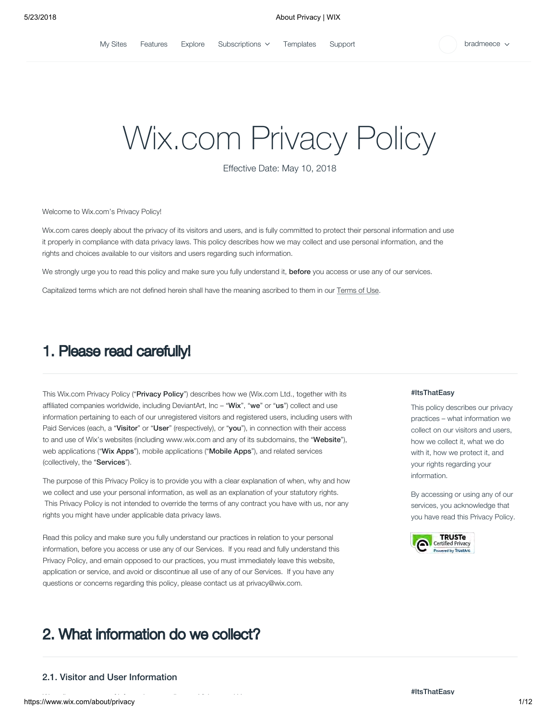[My Sites](https://www.wix.com/my-account) [Features](https://www.wix.com/features/main) [Explore](https://www.wix.com/explore/websites) [Subscriptions](https://premium.wix.com/wix/api/billingConsole)  $\checkmark$  [Templates](https://www.wix.com/website/templates) [Support](https://support.wix.com/en/)  $\checkmark$  bradmeece

# Wix.com Privacy Policy

Effective Date: May 10, 2018

Welcome to Wix.com's Privacy Policy!

Wix.com cares deeply about the privacy of its visitors and users, and is fully committed to protect their personal information and use it properly in compliance with data privacy laws. This policy describes how we may collect and use personal information, and the rights and choices available to our visitors and users regarding such information.

We strongly urge you to read this policy and make sure you fully understand it, before you access or use any of our services.

Capitalized terms which are not defined herein shall have the meaning ascribed to them in our [Terms of Use](http://www.wix.com/about/terms-of-use).

### 1. Please read carefully!

This Wix.com Privacy Policy ("Privacy Policy") describes how we (Wix.com Ltd., together with its affiliated companies worldwide, including DeviantArt, Inc – "Wix", "we" or "us") collect and use information pertaining to each of our unregistered visitors and registered users, including users with Paid Services (each, a "Visitor" or "User" (respectively), or "you"), in connection with their access to and use of Wix's websites (including [www.wix.com](http://www.wix.com/) and any of its subdomains, the "Website"), web applications ("Wix Apps"), mobile applications ("Mobile Apps"), and related services (collectively, the "Services").

The purpose of this Privacy Policy is to provide you with a clear explanation of when, why and how we collect and use your personal information, as well as an explanation of your statutory rights. This Privacy Policy is not intended to override the terms of any contract you have with us, nor any rights you might have under applicable data privacy laws.

Read this policy and make sure you fully understand our practices in relation to your personal information, before you access or use any of our Services. If you read and fully understand this Privacy Policy, and emain opposed to our practices, you must immediately leave this website, application or service, and avoid or discontinue all use of any of our Services. If you have any questions or concerns regarding this policy, please contact us at privacy@wix.com.

### 2. What information do we collect?

### 2.1. Visitor and User Information

#### #ItsThatEasy

This policy describes our privacy practices – what information we collect on our visitors and users, how we collect it, what we do with it, how we protect it, and your rights regarding your information.

By accessing or using any of our services, you acknowledge that you have read this Privacy Policy.

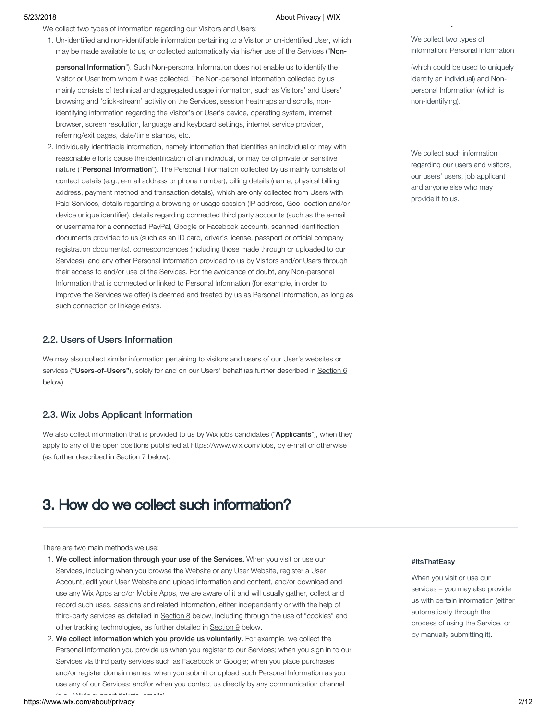We collect two types of information regarding our Visitors and Users:

1. Un-identified and non-identifiable information pertaining to a Visitor or un-identified User, which may be made available to us, or collected automatically via his/her use of the Services ("Non-

personal Information"). Such Non-personal Information does not enable us to identify the Visitor or User from whom it was collected. The Non-personal Information collected by us mainly consists of technical and aggregated usage information, such as Visitors' and Users' browsing and 'click-stream' activity on the Services, session heatmaps and scrolls, nonidentifying information regarding the Visitor's or User's device, operating system, internet browser, screen resolution, language and keyboard settings, internet service provider, referring/exit pages, date/time stamps, etc.

2. Individually identifiable information, namely information that identifies an individual or may with reasonable efforts cause the identification of an individual, or may be of private or sensitive nature ("Personal Information"). The Personal Information collected by us mainly consists of contact details (e.g., e-mail address or phone number), billing details (name, physical billing address, payment method and transaction details), which are only collected from Users with Paid Services, details regarding a browsing or usage session (IP address, Geo-location and/or device unique identifier), details regarding connected third party accounts (such as the e-mail or username for a connected PayPal, Google or Facebook account), scanned identification documents provided to us (such as an ID card, driver's license, passport or official company registration documents), correspondences (including those made through or uploaded to our Services), and any other Personal Information provided to us by Visitors and/or Users through their access to and/or use of the Services. For the avoidance of doubt, any Non-personal Information that is connected or linked to Personal Information (for example, in order to improve the Services we offer) is deemed and treated by us as Personal Information, as long as such connection or linkage exists.

### 2.2. Users of Users Information

We may also collect similar information pertaining to visitors and users of our User's websites or services ("Users-of-Users"), solely for and on our Users' behalf (as further described in [Section 6](https://www.wix.com/about/privacy) below).

#### 2.3. Wix Jobs Applicant Information

We also collect information that is provided to us by Wix jobs candidates ("Applicants"), when they apply to any of the open positions published at [https://www.wix.com/jobs,](https://www.wix.com/jobs) by e-mail or otherwise (as further described in [Section 7](https://www.wix.com/about/privacy) below).

### 3. How do we collect such information?

There are two main methods we use:

- 1. We collect information through your use of the Services. When you visit or use our Services, including when you browse the Website or any User Website, register a User Account, edit your User Website and upload information and content, and/or download and use any Wix Apps and/or Mobile Apps, we are aware of it and will usually gather, collect and record such uses, sessions and related information, either independently or with the help of third-party services as detailed in [Section 8](https://www.wix.com/about/privacy) below, including through the use of "cookies" and other tracking technologies, as further detailed in [Section 9](https://www.wix.com/about/privacy) below.
- 2. We collect information which you provide us voluntarily. For example, we collect the Personal Information you provide us when you register to our Services; when you sign in to our Services via third party services such as Facebook or Google; when you place purchases and/or register domain names; when you submit or upload such Personal Information as you use any of our Services; and/or when you contact us directly by any communication channel  $(x - y)$  With  $y = 1$  support tickets emails)

We collect two types of information: Personal Information

y

(which could be used to uniquely identify an individual) and Nonpersonal Information (which is non-identifying).

We collect such information regarding our users and visitors, our users' users, job applicant and anyone else who may provide it to us.

#### #ItsThatEasy

When you visit or use our services – you may also provide us with certain information (either automatically through the process of using the Service, or by manually submitting it).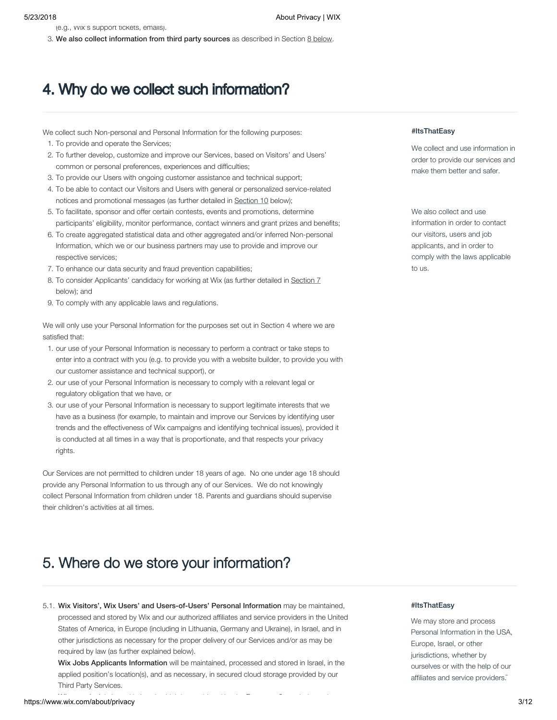(e.g., Wix's support tickets, emails).

3. We also collect information from third party sources as described in Section [8 below](https://www.wix.com/about/privacy).

## 4. Why do we collect such information?

We collect such Non-personal and Personal Information for the following purposes:

- 1. To provide and operate the Services;
- 2. To further develop, customize and improve our Services, based on Visitors' and Users' common or personal preferences, experiences and difficulties;
- 3. To provide our Users with ongoing customer assistance and technical support;
- 4. To be able to contact our Visitors and Users with general or personalized service-related notices and promotional messages (as further detailed in [Section 10](https://www.wix.com/about/privacy) below);
- 5. To facilitate, sponsor and offer certain contests, events and promotions, determine participants' eligibility, monitor performance, contact winners and grant prizes and benefits;
- 6. To create aggregated statistical data and other aggregated and/or inferred Non-personal Information, which we or our business partners may use to provide and improve our respective services;
- 7. To enhance our data security and fraud prevention capabilities;
- 8. To consider Applicants' candidacy for working at Wix (as further detailed in [Section 7](https://www.wix.com/about/privacy) below); and
- 9. To comply with any applicable laws and regulations.

We will only use your Personal Information for the purposes set out in Section 4 where we are satisfied that:

- 1. our use of your Personal Information is necessary to perform a contract or take steps to enter into a contract with you (e.g. to provide you with a website builder, to provide you with our customer assistance and technical support), or
- 2. our use of your Personal Information is necessary to comply with a relevant legal or regulatory obligation that we have, or
- 3. our use of your Personal Information is necessary to support legitimate interests that we have as a business (for example, to maintain and improve our Services by identifying user trends and the effectiveness of Wix campaigns and identifying technical issues), provided it is conducted at all times in a way that is proportionate, and that respects your privacy rights.

Our Services are not permitted to children under 18 years of age. No one under age 18 should provide any Personal Information to us through any of our Services. We do not knowingly collect Personal Information from children under 18. Parents and guardians should supervise their children's activities at all times.

## 5. Where do we store your information?

### 5.1. Wix Visitors', Wix Users' and Users-of-Users' Personal Information may be maintained, The Muslim and HitsThatEasy processed and stored by Wix and our authorized affiliates and service providers in the United States of America, in Europe (including in Lithuania, Germany and Ukraine), in Israel, and in other jurisdictions as necessary for the proper delivery of our Services and/or as may be required by law (as further explained below).

المستقل المستقل المستقل المستقل المستقل المستقل المستقل المستقل المستقل المستقل المستقل المستقل المستقل المستق<br>Mttps://www.wix.com/about/privacy 3/12 Wix Jobs Applicants Information will be maintained, processed and stored in Israel, in the applied position's location(s), and as necessary, in secured cloud storage provided by our Third Party Services.

### #ItsThatEasy

We collect and use information in order to provide our services and make them better and safer.

We also collect and use information in order to contact our visitors, users and job applicants, and in order to comply with the laws applicable to us.

We may store and process Personal Information in the USA, Europe, Israel, or other jurisdictions, whether by ourselves or with the help of our affiliates and service providers.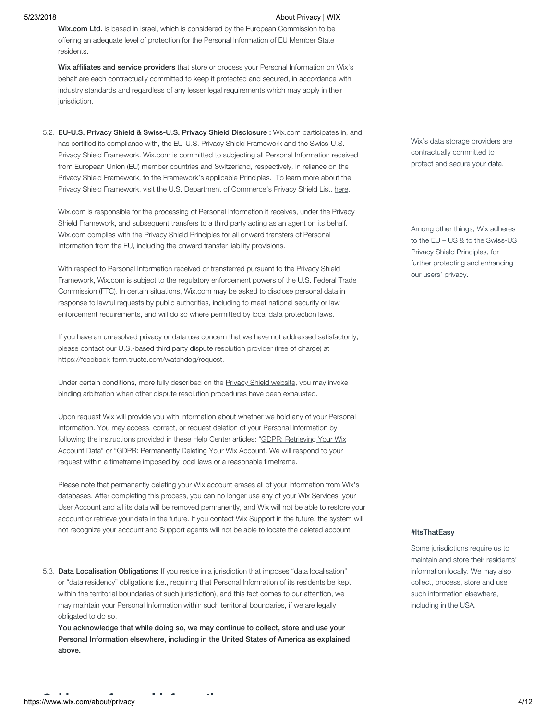Wix.com Ltd. is based in Israel, which is considered by the European Commission to be offering an adequate level of protection for the Personal Information of EU Member State residents.

Wix affiliates and service providers that store or process your Personal Information on Wix's behalf are each contractually committed to keep it protected and secured, in accordance with industry standards and regardless of any lesser legal requirements which may apply in their jurisdiction.

5.2. EU-U.S. Privacy Shield & Swiss-U.S. Privacy Shield Disclosure : Wix.com participates in, and has certified its compliance with, the EU-U.S. Privacy Shield Framework and the Swiss-U.S. Privacy Shield Framework. Wix.com is committed to subjecting all Personal Information received from European Union (EU) member countries and Switzerland, respectively, in reliance on the Privacy Shield Framework, to the Framework's applicable Principles. To learn more about the Privacy Shield Framework, visit the U.S. Department of Commerce's Privacy Shield List, [here.](https://www.privacyshield.gov/)

Wix.com is responsible for the processing of Personal Information it receives, under the Privacy Shield Framework, and subsequent transfers to a third party acting as an agent on its behalf. Wix.com complies with the Privacy Shield Principles for all onward transfers of Personal Information from the EU, including the onward transfer liability provisions.

With respect to Personal Information received or transferred pursuant to the Privacy Shield Framework, Wix.com is subject to the regulatory enforcement powers of the U.S. Federal Trade Commission (FTC). In certain situations, Wix.com may be asked to disclose personal data in response to lawful requests by public authorities, including to meet national security or law enforcement requirements, and will do so where permitted by local data protection laws.

If you have an unresolved privacy or data use concern that we have not addressed satisfactorily, please contact our U.S.-based third party dispute resolution provider (free of charge) at <https://feedback-form.truste.com/watchdog/request>.

Under certain conditions, more fully described on the [Privacy Shield website,](https://www.privacyshield.gov/) you may invoke binding arbitration when other dispute resolution procedures have been exhausted.

Upon request Wix will provide you with information about whether we hold any of your Personal Information. You may access, correct, or request deletion of your Personal Information by [following the instructions provided in these Help Center articles: "GDPR: Retrieving Your Wix](https://support.wix.com/en/article/gdpr-retrieving-your-wix-account-data) [Account Data" or "GDPR: Permanently Deleting Your Wix Account. We will respond to your](https://support.wix.com/en/article/gdpr-permanently-deleting-your-wix-account) request within a timeframe imposed by local laws or a reasonable timeframe.

Please note that permanently deleting your Wix account erases all of your information from Wix's databases. After completing this process, you can no longer use any of your Wix Services, your User Account and all its data will be removed permanently, and Wix will not be able to restore your account or retrieve your data in the future. If you contact Wix Support in the future, the system will not recognize your account and Support agents will not be able to locate the deleted account.

5.3. Data Localisation Obligations: If you reside in a jurisdiction that imposes "data localisation" or "data residency" obligations (i.e., requiring that Personal Information of its residents be kept within the territorial boundaries of such jurisdiction), and this fact comes to our attention, we may maintain your Personal Information within such territorial boundaries, if we are legally obligated to do so.

You acknowledge that while doing so, we may continue to collect, store and use your Personal Information elsewhere, including in the United States of America as explained above.

Wix's data storage providers are contractually committed to protect and secure your data.

Among other things, Wix adheres to the EU – US & to the Swiss-US Privacy Shield Principles, for further protecting and enhancing our users' privacy.

#### #ItsThatEasy

Some jurisdictions require us to maintain and store their residents' information locally. We may also collect, process, store and use such information elsewhere, including in the USA.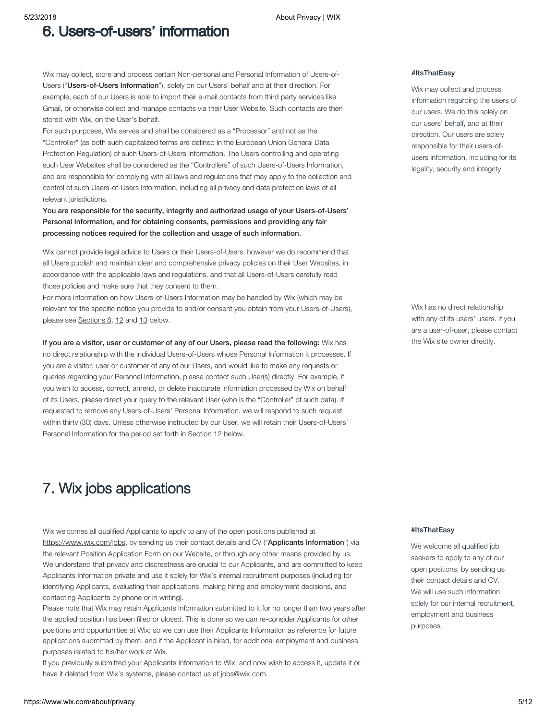### 6. Users-of-users' information

Wix may collect, store and process certain Non-personal and Personal Information of Users-of-Users ("Users-of-Users Information"), solely on our Users' behalf and at their direction. For example, each of our Users is able to import their e-mail contacts from third party services like Gmail, or otherwise collect and manage contacts via their User Website. Such contacts are then stored with Wix, on the User's behalf.

For such purposes, Wix serves and shall be considered as a "Processor" and not as the "Controller" (as both such capitalized terms are defined in the European Union General Data Protection Regulation) of such Users-of-Users Information. The Users controlling and operating such User Websites shall be considered as the "Controllers" of such Users-of-Users Information, and are responsible for complying with all laws and regulations that may apply to the collection and control of such Users-of-Users Information, including all privacy and data protection laws of all relevant jurisdictions.

You are responsible for the security, integrity and authorized usage of your Users-of-Users' Personal Information, and for obtaining consents, permissions and providing any fair processing notices required for the collection and usage of such information.

Wix cannot provide legal advice to Users or their Users-of-Users, however we do recommend that all Users publish and maintain clear and comprehensive privacy policies on their User Websites, in accordance with the applicable laws and regulations, and that all Users-of-Users carefully read those policies and make sure that they consent to them.

For more information on how Users-of-Users Information may be handled by Wix (which may be relevant for the specific notice you provide to and/or consent you obtain from your Users-of-Users), please see [Sections 8](https://www.wix.com/about/privacy), [12](https://www.wix.com/about/privacy) and [13](https://www.wix.com/about/privacy) below.

If you are a visitor, user or customer of any of our Users, please read the following: Wix has no direct relationship with the individual Users-of-Users whose Personal Information it processes. If you are a visitor, user or customer of any of our Users, and would like to make any requests or queries regarding your Personal Information, please contact such User(s) directly. For example, if you wish to access, correct, amend, or delete inaccurate information processed by Wix on behalf of its Users, please direct your query to the relevant User (who is the "Controller" of such data). If requested to remove any Users-of-Users' Personal Information, we will respond to such request within thirty (30) days. Unless otherwise instructed by our User, we will retain their Users-of-Users' Personal Information for the period set forth in [Section 12](https://www.wix.com/about/privacy) below.

#### #ItsThatEasy

Wix may collect and process information regarding the users of our users. We do this solely on our users' behalf, and at their direction. Our users are solely responsible for their users-ofusers information, including for its legality, security and integrity.

Wix has no direct relationship with any of its users' users. If you are a user-of-user, please contact the Wix site owner directly.

### 7. Wix jobs applications

Wix welcomes all qualified Applicants to apply to any of the open positions published at [https://www.wix.com/jobs,](https://www.wix.com/jobs) by sending us their contact details and CV ("Applicants Information") via the relevant Position Application Form on our Website, or through any other means provided by us. We understand that privacy and discreetness are crucial to our Applicants, and are committed to keep Applicants Information private and use it solely for Wix's internal recruitment purposes (including for identifying Applicants, evaluating their applications, making hiring and employment decisions, and contacting Applicants by phone or in writing).

Please note that Wix may retain Applicants Information submitted to it for no longer than two years after the applied position has been filled or closed. This is done so we can re-consider Applicants for other positions and opportunities at Wix; so we can use their Applicants Information as reference for future applications submitted by them; and if the Applicant is hired, for additional employment and business purposes related to his/her work at Wix.

If you previously submitted your Applicants Information to Wix, and now wish to access it, update it or have it deleted from Wix's systems, please contact us at [jobs@wix.com](mailto:jobs@wix.com).

#### #ItsThatEasy

We welcome all qualified job seekers to apply to any of our open positions, by sending us their contact details and CV. We will use such information solely for our internal recruitment, employment and business purposes.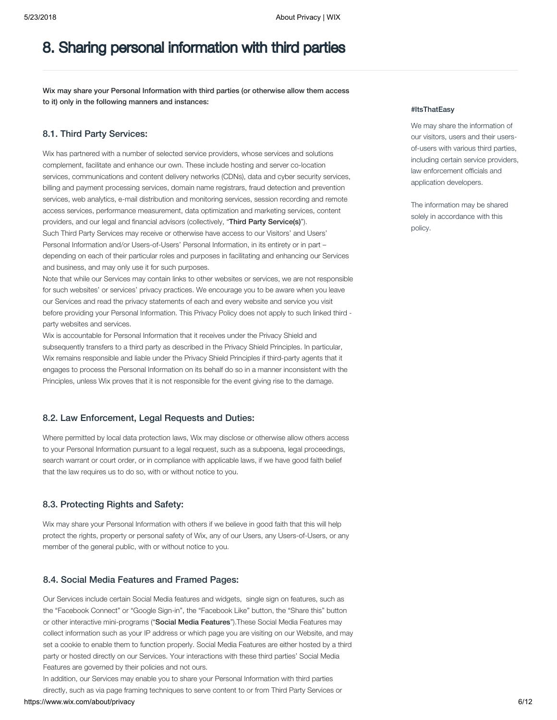### 8. Sharing personal information with third parties

Wix may share your Personal Information with third parties (or otherwise allow them access to it) only in the following manners and instances:

#### 8.1. Third Party Services:

Wix has partnered with a number of selected service providers, whose services and solutions complement, facilitate and enhance our own. These include hosting and server co-location services, communications and content delivery networks (CDNs), data and cyber security services, billing and payment processing services, domain name registrars, fraud detection and prevention services, web analytics, e-mail distribution and monitoring services, session recording and remote access services, performance measurement, data optimization and marketing services, content providers, and our legal and financial advisors (collectively, "Third Party Service(s)"). Such Third Party Services may receive or otherwise have access to our Visitors' and Users' Personal Information and/or Users-of-Users' Personal Information, in its entirety or in part – depending on each of their particular roles and purposes in facilitating and enhancing our Services and business, and may only use it for such purposes.

Note that while our Services may contain links to other websites or services, we are not responsible for such websites' or services' privacy practices. We encourage you to be aware when you leave our Services and read the privacy statements of each and every website and service you visit before providing your Personal Information. This Privacy Policy does not apply to such linked third party websites and services.

Wix is accountable for Personal Information that it receives under the Privacy Shield and subsequently transfers to a third party as described in the Privacy Shield Principles. In particular, Wix remains responsible and liable under the Privacy Shield Principles if third-party agents that it engages to process the Personal Information on its behalf do so in a manner inconsistent with the Principles, unless Wix proves that it is not responsible for the event giving rise to the damage.

#### 8.2. Law Enforcement, Legal Requests and Duties:

Where permitted by local data protection laws, Wix may disclose or otherwise allow others access to your Personal Information pursuant to a legal request, such as a subpoena, legal proceedings, search warrant or court order, or in compliance with applicable laws, if we have good faith belief that the law requires us to do so, with or without notice to you.

#### 8.3. Protecting Rights and Safety:

Wix may share your Personal Information with others if we believe in good faith that this will help protect the rights, property or personal safety of Wix, any of our Users, any Users-of-Users, or any member of the general public, with or without notice to you.

#### 8.4. Social Media Features and Framed Pages:

Our Services include certain Social Media features and widgets, single sign on features, such as the "Facebook Connect" or "Google Sign-in", the "Facebook Like" button, the "Share this" button or other interactive mini-programs ("Social Media Features"). These Social Media Features may collect information such as your IP address or which page you are visiting on our Website, and may set a cookie to enable them to function properly. Social Media Features are either hosted by a third party or hosted directly on our Services. Your interactions with these third parties' Social Media Features are governed by their policies and not ours.

https://www.wix.com/about/privacy 6/12 In addition, our Services may enable you to share your Personal Information with third parties directly, such as via page framing techniques to serve content to or from Third Party Services or

#### #ItsThatEasy

We may share the information of our visitors, users and their usersof-users with various third parties, including certain service providers, law enforcement officials and application developers.

The information may be shared solely in accordance with this policy.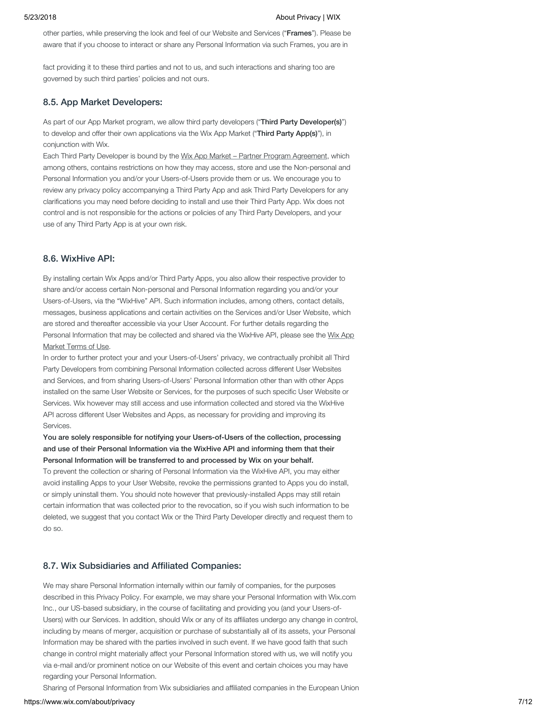other parties, while preserving the look and feel of our Website and Services ("Frames"). Please be aware that if you choose to interact or share any Personal Information via such Frames, you are in

fact providing it to these third parties and not to us, and such interactions and sharing too are governed by such third parties' policies and not ours.

#### 8.5. App Market Developers:

As part of our App Market program, we allow third party developers ("Third Party Developer(s)") to develop and offer their own applications via the Wix App Market ("Third Party App(s)"), in conjunction with Wix.

Each Third Party Developer is bound by the Wix App Market - Partner Program Agreement, which among others, contains restrictions on how they may access, store and use the Non-personal and Personal Information you and/or your Users-of-Users provide them or us. We encourage you to review any privacy policy accompanying a Third Party App and ask Third Party Developers for any clarifications you may need before deciding to install and use their Third Party App. Wix does not control and is not responsible for the actions or policies of any Third Party Developers, and your use of any Third Party App is at your own risk.

#### 8.6. WixHive API:

By installing certain Wix Apps and/or Third Party Apps, you also allow their respective provider to share and/or access certain Non-personal and Personal Information regarding you and/or your Users-of-Users, via the "WixHive" API. Such information includes, among others, contact details, messages, business applications and certain activities on the Services and/or User Website, which are stored and thereafter accessible via your User Account. For further details regarding the [Personal Information that may be collected and shared via the WixHive API, please see the Wix App](https://www.wix.com/about/app-market-terms) Market Terms of Use[.](https://www.wix.com/about/app-market-terms) 

In order to further protect your and your Users-of-Users' privacy, we contractually prohibit all Third Party Developers from combining Personal Information collected across different User Websites and Services, and from sharing Users-of-Users' Personal Information other than with other Apps installed on the same User Website or Services, for the purposes of such specific User Website or Services. Wix however may still access and use information collected and stored via the WixHive API across different User Websites and Apps, as necessary for providing and improving its Services.

#### You are solely responsible for notifying your Users-of-Users of the collection, processing and use of their Personal Information via the WixHive API and informing them that their Personal Information will be transferred to and processed by Wix on your behalf.

To prevent the collection or sharing of Personal Information via the WixHive API, you may either avoid installing Apps to your User Website, revoke the permissions granted to Apps you do install, or simply uninstall them. You should note however that previously-installed Apps may still retain certain information that was collected prior to the revocation, so if you wish such information to be deleted, we suggest that you contact Wix or the Third Party Developer directly and request them to do so.

#### 8.7. Wix Subsidiaries and Affiliated Companies:

We may share Personal Information internally within our family of companies, for the purposes described in this Privacy Policy. For example, we may share your Personal Information with Wix.com Inc., our US-based subsidiary, in the course of facilitating and providing you (and your Users-of-Users) with our Services. In addition, should Wix or any of its affiliates undergo any change in control, including by means of merger, acquisition or purchase of substantially all of its assets, your Personal Information may be shared with the parties involved in such event. If we have good faith that such change in control might materially affect your Personal Information stored with us, we will notify you via e-mail and/or prominent notice on our Website of this event and certain choices you may have regarding your Personal Information.

Sharing of Personal Information from Wix subsidiaries and affiliated companies in the European Union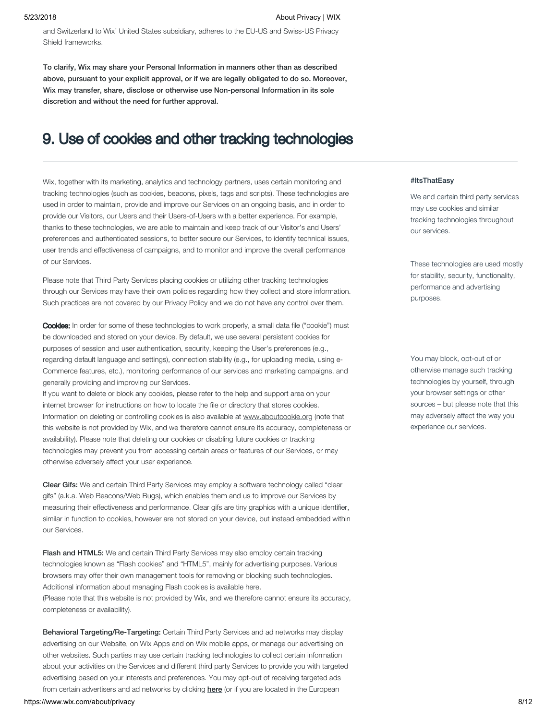and Switzerland to Wix' United States subsidiary, adheres to the EU-US and Swiss-US Privacy Shield frameworks.

To clarify, Wix may share your Personal Information in manners other than as described above, pursuant to your explicit approval, or if we are legally obligated to do so. Moreover, Wix may transfer, share, disclose or otherwise use Non-personal Information in its sole discretion and without the need for further approval.

### 9. Use of cookies and other tracking technologies

Wix, together with its marketing, analytics and technology partners, uses certain monitoring and tracking technologies (such as cookies, beacons, pixels, tags and scripts). These technologies are used in order to maintain, provide and improve our Services on an ongoing basis, and in order to provide our Visitors, our Users and their Users-of-Users with a better experience. For example, thanks to these technologies, we are able to maintain and keep track of our Visitor's and Users' preferences and authenticated sessions, to better secure our Services, to identify technical issues, user trends and effectiveness of campaigns, and to monitor and improve the overall performance of our Services.

Please note that Third Party Services placing cookies or utilizing other tracking technologies through our Services may have their own policies regarding how they collect and store information. Such practices are not covered by our Privacy Policy and we do not have any control over them.

Cookies: In order for some of these technologies to work properly, a small data file ("cookie") must be downloaded and stored on your device. By default, we use several persistent cookies for purposes of session and user authentication, security, keeping the User's preferences (e.g., regarding default language and settings), connection stability (e.g., for uploading media, using e-Commerce features, etc.), monitoring performance of our services and marketing campaigns, and generally providing and improving our Services.

If you want to delete or block any cookies, please refer to the help and support area on your internet browser for instructions on how to locate the file or directory that stores cookies. Information on deleting or controlling cookies is also available at [www.aboutcookie.org](http://www.aboutcookies.org/) (note that this website is not provided by Wix, and we therefore cannot ensure its accuracy, completeness or availability). Please note that deleting our cookies or disabling future cookies or tracking technologies may prevent you from accessing certain areas or features of our Services, or may otherwise adversely affect your user experience.

Clear Gifs: We and certain Third Party Services may employ a software technology called "clear gifs" (a.k.a. Web Beacons/Web Bugs), which enables them and us to improve our Services by measuring their effectiveness and performance. Clear gifs are tiny graphics with a unique identifier, similar in function to cookies, however are not stored on your device, but instead embedded within our Services.

Flash and HTML5: We and certain Third Party Services may also employ certain tracking technologies known as "Flash cookies" and "HTML5", mainly for advertising purposes. Various browsers may offer their own management tools for removing or blocking such technologies. Additional information about managing Flash cookies is [available here.](http://www.macromedia.com/support/documentation/en/flashplayer/help/settings_manager07.html)  (Please note that this website is not provided by Wix, and we therefore cannot ensure its accuracy, completeness or availability).

Behavioral Targeting/Re-Targeting: Certain Third Party Services and ad networks may display advertising on our Website, on Wix Apps and on Wix mobile apps, or manage our advertising on other websites. Such parties may use certain tracking technologies to collect certain information about your activities on the Services and different third party Services to provide you with targeted advertising based on your interests and preferences. You may opt-out of receiving targeted ads from certain advertisers and ad networks by clicking [here](http://preferences.truste.com/) (or if you are located in the European

#### https://www.wix.com/about/privacy 8/12

#### #ItsThatEasy

We and certain third party services may use cookies and similar tracking technologies throughout our services.

These technologies are used mostly for stability, security, functionality, performance and advertising purposes.

You may block, opt-out of or otherwise manage such tracking technologies by yourself, through your browser settings or other sources – but please note that this may adversely affect the way you experience our services.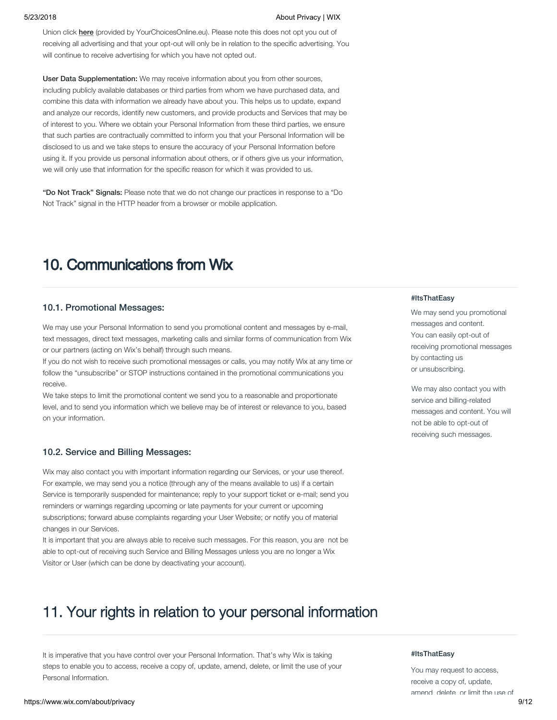Union click [here](http://www.youronlinechoices.eu/) (provided by YourChoicesOnline.eu). Please note this does not opt you out of receiving all advertising and that your opt-out will only be in relation to the specific advertising. You will continue to receive advertising for which you have not opted out.

User Data Supplementation: We may receive information about you from other sources, including publicly available databases or third parties from whom we have purchased data, and combine this data with information we already have about you. This helps us to update, expand and analyze our records, identify new customers, and provide products and Services that may be of interest to you. Where we obtain your Personal Information from these third parties, we ensure that such parties are contractually committed to inform you that your Personal Information will be disclosed to us and we take steps to ensure the accuracy of your Personal Information before using it. If you provide us personal information about others, or if others give us your information, we will only use that information for the specific reason for which it was provided to us.

"Do Not Track" Signals: Please note that we do not change our practices in response to a "Do Not Track" signal in the HTTP header from a browser or mobile application.

### 10. Communications from Wix

#### 10.1. Promotional Messages:

We may use your Personal Information to send you promotional content and messages by e-mail, text messages, direct text messages, marketing calls and similar forms of communication from Wix or our partners (acting on Wix's behalf) through such means.

If you do not wish to receive such promotional messages or calls, you may notify Wix at any time or follow the "unsubscribe" or STOP instructions contained in the promotional communications you receive.

We take steps to limit the promotional content we send you to a reasonable and proportionate level, and to send you information which we believe may be of interest or relevance to you, based on your information.

#### 10.2. Service and Billing Messages:

Wix may also contact you with important information regarding our Services, or your use thereof. For example, we may send you a notice (through any of the means available to us) if a certain Service is temporarily suspended for maintenance; reply to your support ticket or e-mail; send you reminders or warnings regarding upcoming or late payments for your current or upcoming subscriptions; forward abuse complaints regarding your User Website; or notify you of material changes in our Services.

It is important that you are always able to receive such messages. For this reason, you are not be able to opt-out of receiving such Service and Billing Messages unless you are no longer a Wix Visitor or User (which can be done by deactivating your account).

### 11. Your rights in relation to your personal information

It is imperative that you have control over your Personal Information. That's why Wix is taking steps to enable you to access, receive a copy of, update, amend, delete, or limit the use of your Personal Information.

#### #ItsThatEasy

We may send you promotional messages and content. You can easily opt-out of receiving promotional messages by contacting us or unsubscribing.

We may also contact you with service and billing-related messages and content. You will not be able to opt-out of receiving such messages.

#### #ItsThatEasy

You may request to access, receive a copy of, update, amend delete or limit the use of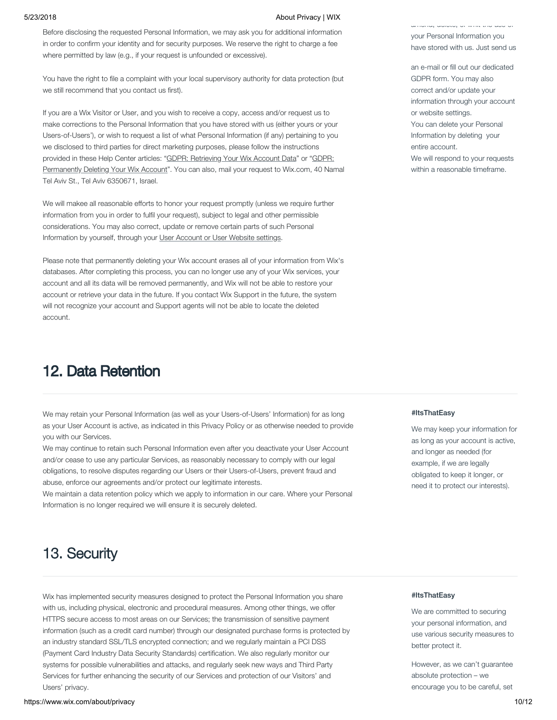Before disclosing the requested Personal Information, we may ask you for additional information in order to confirm your identity and for security purposes. We reserve the right to charge a fee where permitted by law (e.g., if your request is unfounded or excessive).

You have the right to file a complaint with your local supervisory authority for data protection (but we still recommend that you contact us first).

If you are a Wix Visitor or User, and you wish to receive a copy, access and/or request us to make corrections to the Personal Information that you have stored with us (either yours or your Users-of-Users'), or wish to request a list of what Personal Information (if any) pertaining to you we disclosed to third parties for direct marketing purposes, please follow the instructions provided in these Help Center articles: "[GDPR: Retrieving Your Wix Account Data](https://support.wix.com/en/article/gdpr-retrieving-your-wix-account-data)" or "GDPR: [Permanently Deleting Your Wix Account". You can also, mail your request to Wix.com, 40 Nam](https://support.wix.com/en/article/gdpr-permanently-deleting-your-wix-account)al Tel Aviv St., Tel Aviv 6350671, Israel.

We will makee all reasonable efforts to honor your request promptly (unless we require further information from you in order to fulfil your request), subject to legal and other permissible considerations. You may also correct, update or remove certain parts of such Personal Information by yourself, through your [User Account or User Website settings.](https://support.wix.com/en/article/accessing-and-reviewing-data-from-your-wix-account-and-sites)

Please note that permanently deleting your Wix account erases all of your information from Wix's databases. After completing this process, you can no longer use any of your Wix services, your account and all its data will be removed permanently, and Wix will not be able to restore your account or retrieve your data in the future. If you contact Wix Support in the future, the system will not recognize your account and Support agents will not be able to locate the deleted account.

### 12. Data Retention

We may retain your Personal Information (as well as your Users-of-Users' Information) for as long as your User Account is active, as indicated in this Privacy Policy or as otherwise needed to provide you with our Services.

We may continue to retain such Personal Information even after you deactivate your User Account and/or cease to use any particular Services, as reasonably necessary to comply with our legal obligations, to resolve disputes regarding our Users or their Users-of-Users, prevent fraud and abuse, enforce our agreements and/or protect our legitimate interests.

We maintain a data retention policy which we apply to information in our care. Where your Personal Information is no longer required we will ensure it is securely deleted.

amend, delete, or limit the use of your Personal Information you have stored with us. Just send us

an e-mail or fill out our dedicated GDPR form. You may also correct and/or update your information through your account or website settings. You can delete your Personal Information by deleting your entire account. We will respond to your requests within a reasonable timeframe.

#### #ItsThatEasy

We may keep your information for as long as your account is active, and longer as needed (for example, if we are legally obligated to keep it longer, or need it to protect our interests).

## 13. Security

Wix has implemented security measures designed to protect the Personal Information you share with us, including physical, electronic and procedural measures. Among other things, we offer HTTPS secure access to most areas on our Services; the transmission of sensitive payment information (such as a credit card number) through our designated purchase forms is protected by an industry standard SSL/TLS encrypted connection; and we regularly maintain a PCI DSS (Payment Card Industry Data Security Standards) certification. We also regularly monitor our systems for possible vulnerabilities and attacks, and regularly seek new ways and Third Party Services for further enhancing the security of our Services and protection of our Visitors' and Users' privacy.

#### #ItsThatEasy

We are committed to securing your personal information, and use various security measures to better protect it.

However, as we can't guarantee absolute protection – we encourage you to be careful, set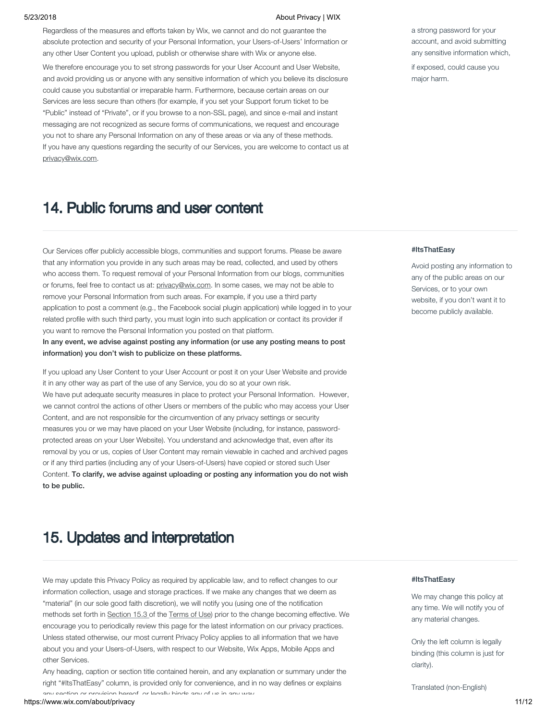Regardless of the measures and efforts taken by Wix, we cannot and do not guarantee the absolute protection and security of your Personal Information, your Users-of-Users' Information or any other User Content you upload, publish or otherwise share with Wix or anyone else.

We therefore encourage you to set strong passwords for your User Account and User Website, and avoid providing us or anyone with any sensitive information of which you believe its disclosure could cause you substantial or irreparable harm. Furthermore, because certain areas on our Services are less secure than others (for example, if you set your Support forum ticket to be "Public" instead of "Private", or if you browse to a non-SSL page), and since e-mail and instant messaging are not recognized as secure forms of communications, we request and encourage you not to share any Personal Information on any of these areas or via any of these methods. If you have any questions regarding the security of our Services, you are welcome to contact us at [privacy@wix.com](mailto:privacy@wix.com).

### 14. Public forums and user content

Our Services offer publicly accessible blogs, communities and support forums. Please be aware that any information you provide in any such areas may be read, collected, and used by others who access them. To request removal of your Personal Information from our blogs, communities or forums, feel free to contact us at: [privacy@wix.com.](mailto:privacy@wix.com) In some cases, we may not be able to remove your Personal Information from such areas. For example, if you use a third party application to post a comment (e.g., the Facebook social plugin application) while logged in to your related profile with such third party, you must login into such application or contact its provider if you want to remove the Personal Information you posted on that platform.

In any event, we advise against posting any information (or use any posting means to post information) you don't wish to publicize on these platforms.

If you upload any User Content to your User Account or post it on your User Website and provide it in any other way as part of the use of any Service, you do so at your own risk. We have put adequate security measures in place to protect your Personal Information. However, we cannot control the actions of other Users or members of the public who may access your User Content, and are not responsible for the circumvention of any privacy settings or security measures you or we may have placed on your User Website (including, for instance, passwordprotected areas on your User Website). You understand and acknowledge that, even after its removal by you or us, copies of User Content may remain viewable in cached and archived pages or if any third parties (including any of your Users-of-Users) have copied or stored such User Content. To clarify, we advise against uploading or posting any information you do not wish to be public.

### 15. Updates and interpretation

We may update this Privacy Policy as required by applicable law, and to reflect changes to our information collection, usage and storage practices. If we make any changes that we deem as "material" (in our sole good faith discretion), we will notify you (using one of the notification methods set forth in [Section 15.3](https://www.wix.com/about/privacy) of the [Terms of Use\)](http://www.wix.com/about/terms-of-use) prior to the change becoming effective. We encourage you to periodically review this page for the latest information on our privacy practices. Unless stated otherwise, our most current Privacy Policy applies to all information that we have about you and your Users-of-Users, with respect to our Website, Wix Apps, Mobile Apps and other Services.

Any heading, caption or section title contained herein, and any explanation or summary under the right "#ItsThatEasy" column, is provided only for convenience, and in no way defines or explains any section or provision hereof or legally binds any of us in any way

a strong password for your account, and avoid submitting any sensitive information which,

if exposed, could cause you major harm.

#### #ItsThatEasy

Avoid posting any information to any of the public areas on our Services, or to your own website, if you don't want it to become publicly available.

#### #ItsThatEasy

We may change this policy at any time. We will notify you of any material changes.

Only the left column is legally binding (this column is just for clarity).

Translated (non-English)